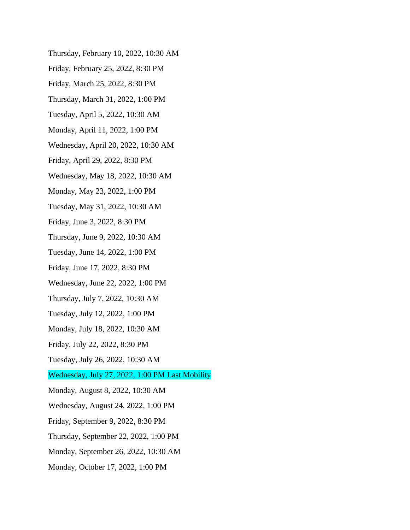- Thursday, February 10, 2022, 10:30 AM
- Friday, February 25, 2022, 8:30 PM
- Friday, March 25, 2022, 8:30 PM
- Thursday, March 31, 2022, 1:00 PM
- Tuesday, April 5, 2022, 10:30 AM
- Monday, April 11, 2022, 1:00 PM
- Wednesday, April 20, 2022, 10:30 AM
- Friday, April 29, 2022, 8:30 PM
- Wednesday, May 18, 2022, 10:30 AM
- Monday, May 23, 2022, 1:00 PM
- Tuesday, May 31, 2022, 10:30 AM
- Friday, June 3, 2022, 8:30 PM
- Thursday, June 9, 2022, 10:30 AM
- Tuesday, June 14, 2022, 1:00 PM
- Friday, June 17, 2022, 8:30 PM
- Wednesday, June 22, 2022, 1:00 PM
- Thursday, July 7, 2022, 10:30 AM
- Tuesday, July 12, 2022, 1:00 PM
- Monday, July 18, 2022, 10:30 AM
- Friday, July 22, 2022, 8:30 PM
- Tuesday, July 26, 2022, 10:30 AM
- Wednesday, July 27, 2022, 1:00 PM Last Mobility
- Monday, August 8, 2022, 10:30 AM
- Wednesday, August 24, 2022, 1:00 PM
- Friday, September 9, 2022, 8:30 PM
- Thursday, September 22, 2022, 1:00 PM
- Monday, September 26, 2022, 10:30 AM
- Monday, October 17, 2022, 1:00 PM